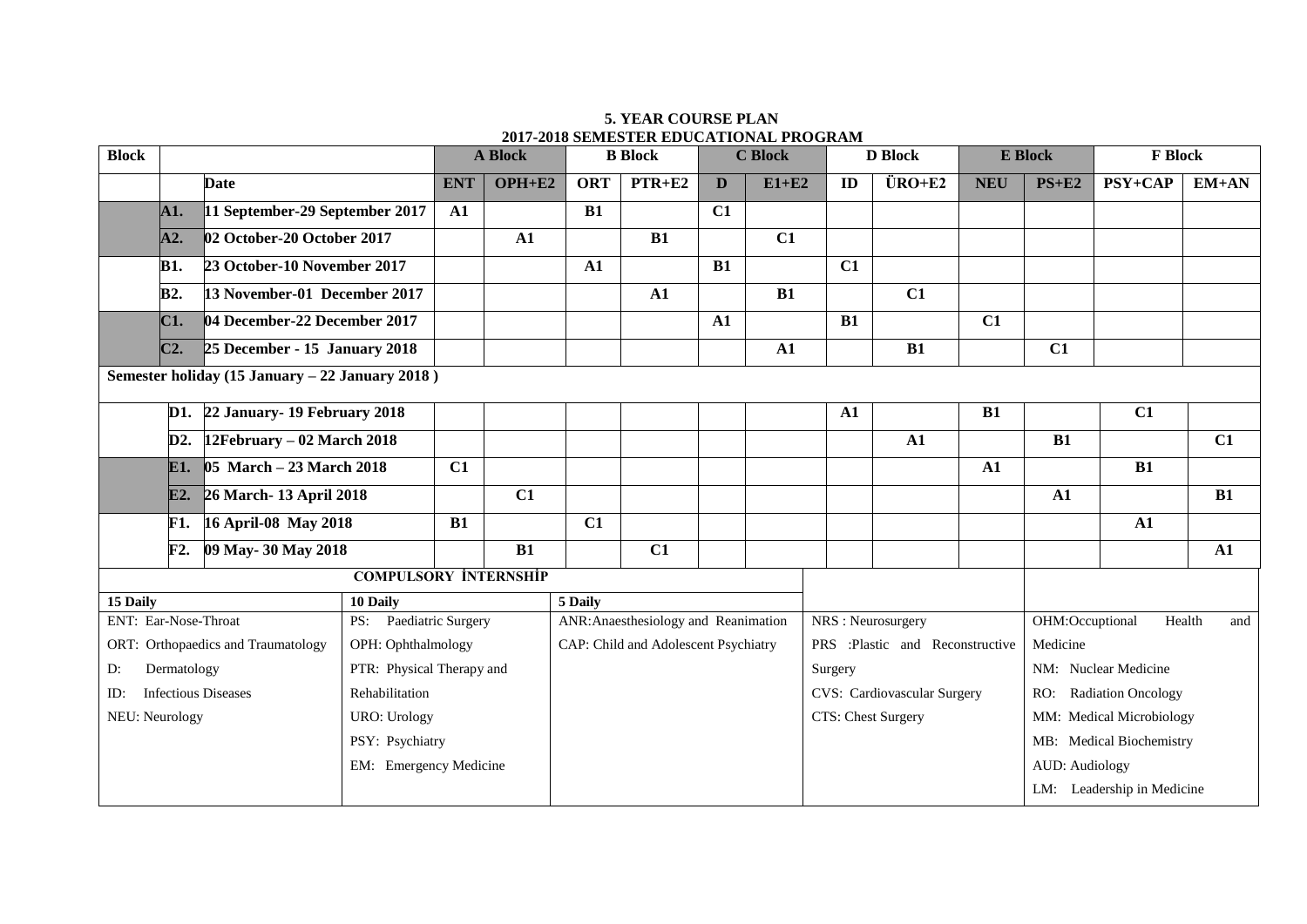## **5. YEAR COURSE PLAN 2017-2018 SEMESTER EDUCATIONAL PROGRAM**

| <b>Block</b>                       |                                         | <b>A Block</b>                                  |                              | <b>B</b> Block         |            | <b>C</b> Block                       |            |            | <b>D</b> Block                  |            | <b>E</b> Block                       | <b>F</b> Block                   |                            |                |            |
|------------------------------------|-----------------------------------------|-------------------------------------------------|------------------------------|------------------------|------------|--------------------------------------|------------|------------|---------------------------------|------------|--------------------------------------|----------------------------------|----------------------------|----------------|------------|
|                                    |                                         | <b>Date</b>                                     |                              | <b>ENT</b>             | $OPH + E2$ | <b>ORT</b>                           | $PTR + E2$ | D          | $E1+E2$                         | ID         | $\ddot{\text{U}}\text{RO}+\text{E2}$ | <b>NEU</b>                       | $PS+E2$                    | <b>PSY+CAP</b> | $EM+AN$    |
|                                    | A1.                                     | 11 September-29 September 2017                  |                              | ${\bf A1}$             |            | B1                                   |            | C1         |                                 |            |                                      |                                  |                            |                |            |
|                                    | A2.                                     | 02 October-20 October 2017                      |                              |                        | ${\bf A1}$ |                                      | B1         |            | C1                              |            |                                      |                                  |                            |                |            |
|                                    | <b>B1.</b>                              | 23 October-10 November 2017                     |                              |                        |            | ${\bf A1}$                           |            | B1         |                                 | C1         |                                      |                                  |                            |                |            |
|                                    | <b>B2.</b>                              | 13 November-01 December 2017                    |                              |                        |            |                                      | ${\bf A1}$ |            | B1                              |            | C1                                   |                                  |                            |                |            |
|                                    | C1.                                     | 04 December-22 December 2017                    |                              |                        |            |                                      |            | ${\bf A1}$ |                                 | B1         |                                      | C1                               |                            |                |            |
|                                    | $C2$ .<br>25 December - 15 January 2018 |                                                 |                              |                        |            |                                      |            | ${\bf A1}$ |                                 | B1         |                                      | C1                               |                            |                |            |
|                                    |                                         | Semester holiday (15 January - 22 January 2018) |                              |                        |            |                                      |            |            |                                 |            |                                      |                                  |                            |                |            |
|                                    |                                         | D1. 22 January - 19 February 2018               |                              |                        |            |                                      |            |            |                                 | ${\bf A1}$ |                                      | B1                               |                            | C1             |            |
|                                    | $12$ February – 02 March 2018<br>D2.    |                                                 |                              |                        |            |                                      |            |            |                                 |            | ${\bf A1}$                           |                                  | B1                         |                | C1         |
|                                    | $\theta$ 5 March – 23 March 2018<br>E1. |                                                 |                              | C1                     |            |                                      |            |            |                                 |            |                                      | ${\bf A1}$                       |                            | B1             |            |
|                                    | E2.                                     | 26 March- 13 April 2018                         |                              |                        | C1         |                                      |            |            |                                 |            |                                      |                                  | ${\bf A1}$                 |                | B1         |
|                                    | <b>F1.</b>                              | 16 April-08 May 2018                            |                              | B1                     |            | C1                                   |            |            |                                 |            |                                      |                                  |                            | ${\bf A1}$     |            |
|                                    | F2.                                     | 09 May-30 May 2018                              |                              |                        | B1         |                                      | C1         |            |                                 |            |                                      |                                  |                            |                | ${\bf A1}$ |
|                                    |                                         |                                                 | <b>COMPULSORY INTERNSHIP</b> |                        |            |                                      |            |            |                                 |            |                                      |                                  |                            |                |            |
| 15 Daily<br>10 Daily               |                                         |                                                 |                              |                        | 5 Daily    |                                      |            |            |                                 |            |                                      |                                  |                            |                |            |
| ENT: Ear-Nose-Throat               |                                         |                                                 |                              | PS: Paediatric Surgery |            | ANR: Anaesthesiology and Reanimation |            |            | NRS: Neurosurgery               |            |                                      | OHM:Occuptional<br>Health<br>and |                            |                |            |
| ORT: Orthopaedics and Traumatology |                                         |                                                 | OPH: Ophthalmology           |                        |            | CAP: Child and Adolescent Psychiatry |            |            | PRS :Plastic and Reconstructive |            |                                      | Medicine                         |                            |                |            |
| Dermatology<br>D:                  |                                         |                                                 | PTR: Physical Therapy and    |                        |            |                                      |            |            | Surgery                         |            |                                      | NM: Nuclear Medicine             |                            |                |            |
| <b>Infectious Diseases</b><br>ID:  |                                         |                                                 | Rehabilitation               |                        |            |                                      |            |            | CVS: Cardiovascular Surgery     |            |                                      | <b>Radiation Oncology</b><br>RO: |                            |                |            |
| NEU: Neurology                     |                                         |                                                 | <b>URO: Urology</b>          |                        |            |                                      |            |            | CTS: Chest Surgery              |            |                                      | MM: Medical Microbiology         |                            |                |            |
|                                    |                                         |                                                 | PSY: Psychiatry              |                        |            |                                      |            |            |                                 |            |                                      |                                  | MB: Medical Biochemistry   |                |            |
|                                    |                                         | EM: Emergency Medicine                          |                              |                        |            |                                      |            |            |                                 |            |                                      | <b>AUD:</b> Audiology            |                            |                |            |
|                                    |                                         |                                                 |                              |                        |            |                                      |            |            |                                 |            |                                      |                                  | LM: Leadership in Medicine |                |            |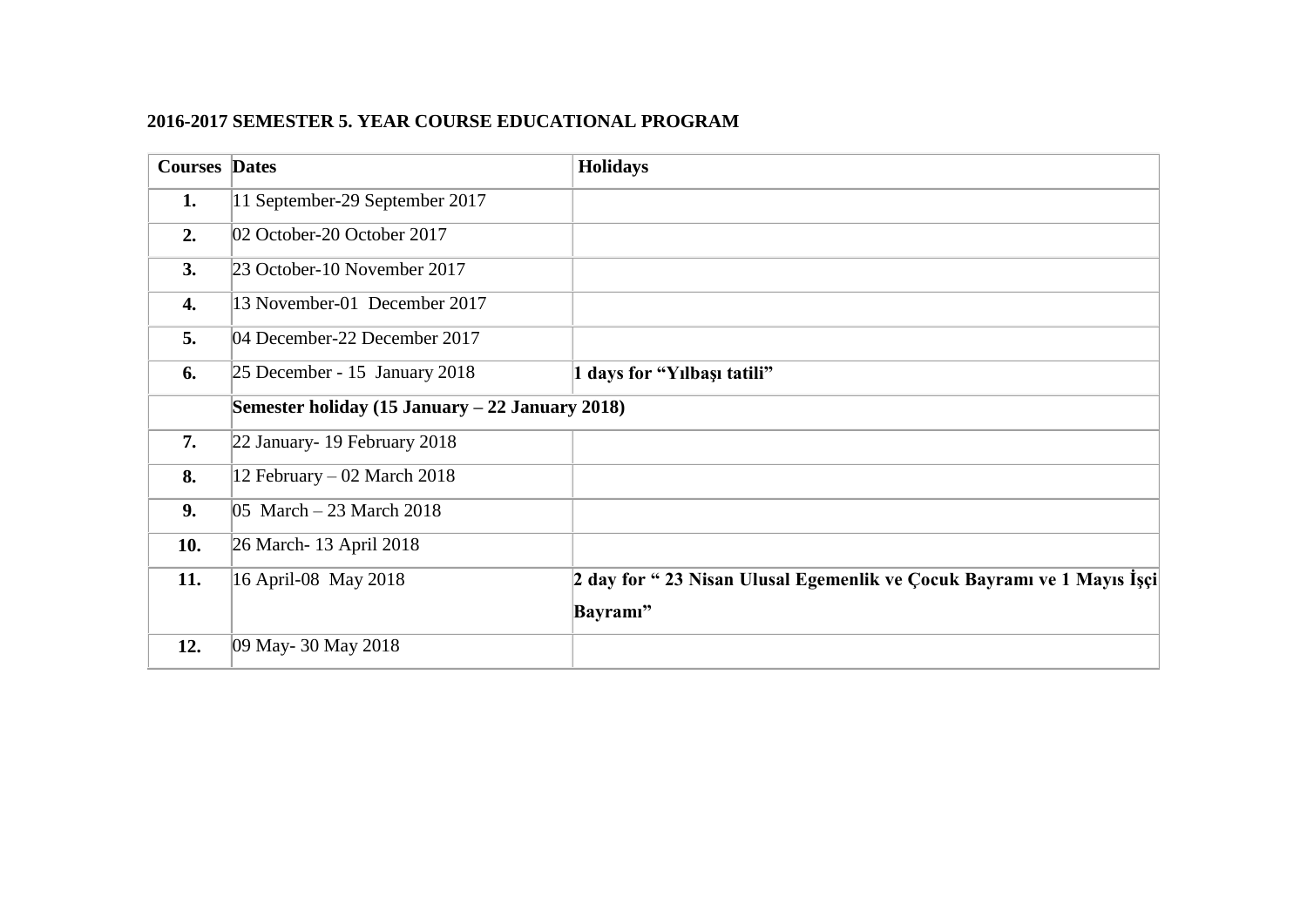## **2016-2017 SEMESTER 5. YEAR COURSE EDUCATIONAL PROGRAM**

| <b>Courses Dates</b> |                                                 | <b>Holidays</b>                                                       |  |  |
|----------------------|-------------------------------------------------|-----------------------------------------------------------------------|--|--|
| 1.                   | 11 September-29 September 2017                  |                                                                       |  |  |
| 2.                   | 02 October-20 October 2017                      |                                                                       |  |  |
| 3.                   | 23 October-10 November 2017                     |                                                                       |  |  |
| 4.                   | 13 November-01 December 2017                    |                                                                       |  |  |
| 5.                   | 04 December-22 December 2017                    |                                                                       |  |  |
| 6.                   | $25$ December - 15 January 2018                 | 1 days for "Yilbaşı tatili"                                           |  |  |
|                      | Semester holiday (15 January – 22 January 2018) |                                                                       |  |  |
| 7.                   | 22 January - 19 February 2018                   |                                                                       |  |  |
| 8.                   | 12 February – 02 March 2018                     |                                                                       |  |  |
| 9.                   | $ 05 \text{ March} - 23 \text{ March } 2018$    |                                                                       |  |  |
| 10.                  | 26 March - 13 April 2018                        |                                                                       |  |  |
| 11.                  | 16 April-08 May 2018                            | 2 day for "23 Nisan Ulusal Egemenlik ve Çocuk Bayramı ve 1 Mayıs İşçi |  |  |
|                      |                                                 | Bayramı"                                                              |  |  |
| 12.                  | 09 May- 30 May 2018                             |                                                                       |  |  |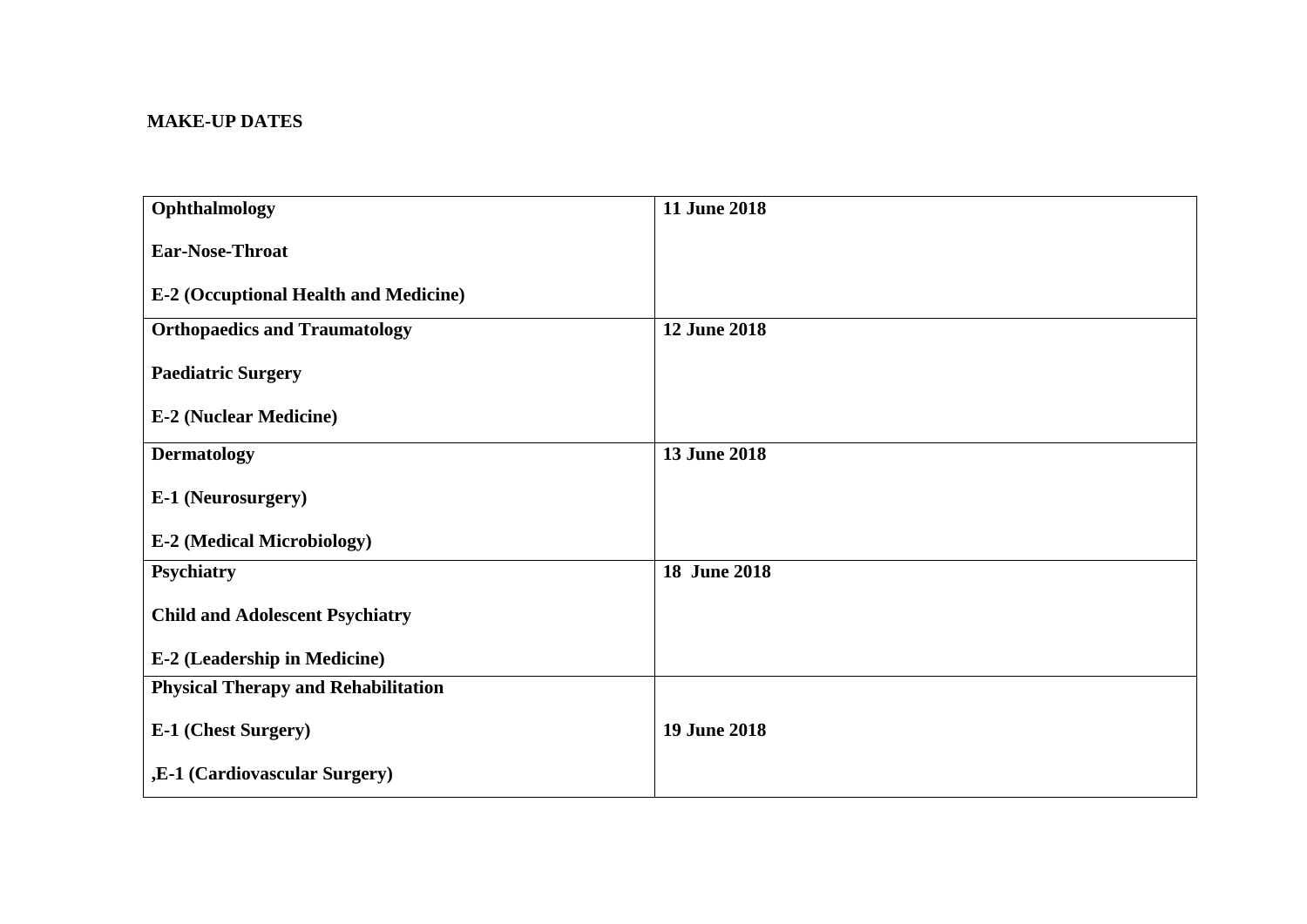## **MAKE-UP DATES**

| Ophthalmology                                | 11 June 2018        |
|----------------------------------------------|---------------------|
| <b>Ear-Nose-Throat</b>                       |                     |
| <b>E-2 (Occuptional Health and Medicine)</b> |                     |
| <b>Orthopaedics and Traumatology</b>         | <b>12 June 2018</b> |
| <b>Paediatric Surgery</b>                    |                     |
| <b>E-2 (Nuclear Medicine)</b>                |                     |
| <b>Dermatology</b>                           | 13 June 2018        |
| E-1 (Neurosurgery)                           |                     |
| <b>E-2 (Medical Microbiology)</b>            |                     |
| Psychiatry                                   | 18 June 2018        |
| <b>Child and Adolescent Psychiatry</b>       |                     |
| <b>E-2 (Leadership in Medicine)</b>          |                     |
| <b>Physical Therapy and Rehabilitation</b>   |                     |
| E-1 (Chest Surgery)                          | 19 June 2018        |
| ,E-1 (Cardiovascular Surgery)                |                     |